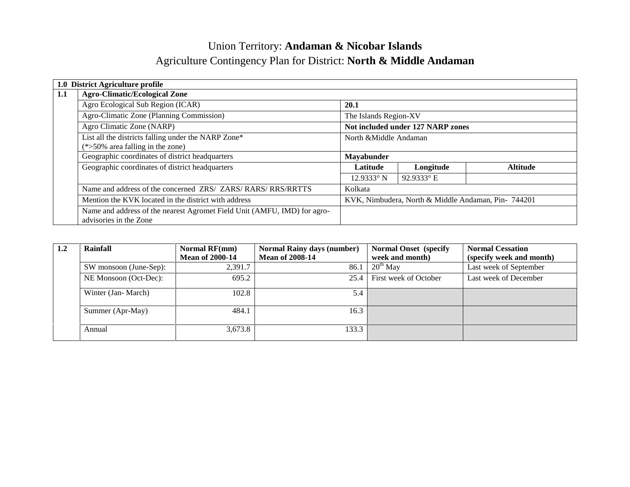# Union Territory: **Andaman & Nicobar Islands** Agriculture Contingency Plan for District: **North & Middle Andaman**

|     | 1.0 District Agriculture profile                                                                   |                                                     |                 |  |  |
|-----|----------------------------------------------------------------------------------------------------|-----------------------------------------------------|-----------------|--|--|
| 1.1 | <b>Agro-Climatic/Ecological Zone</b>                                                               |                                                     |                 |  |  |
|     | Agro Ecological Sub Region (ICAR)                                                                  | 20.1                                                |                 |  |  |
|     | Agro-Climatic Zone (Planning Commission)                                                           | The Islands Region-XV                               |                 |  |  |
|     | Agro Climatic Zone (NARP)                                                                          | Not included under 127 NARP zones                   |                 |  |  |
|     | List all the districts falling under the NARP Zone*                                                | North & Middle Andaman                              |                 |  |  |
|     | $(*>50\%$ area falling in the zone)                                                                |                                                     |                 |  |  |
|     | Geographic coordinates of district headquarters                                                    | <b>Mayabunder</b>                                   |                 |  |  |
|     | Geographic coordinates of district headquarters                                                    | Latitude<br>Longitude                               | <b>Altitude</b> |  |  |
|     |                                                                                                    | $92.9333$ °E<br>$12.9333^{\circ}$ N                 |                 |  |  |
|     | Name and address of the concerned ZRS/ ZARS/ RARS/ RRS/RRTTS                                       | Kolkata                                             |                 |  |  |
|     | Mention the KVK located in the district with address                                               | KVK, Nimbudera, North & Middle Andaman, Pin- 744201 |                 |  |  |
|     | Name and address of the nearest Agromet Field Unit (AMFU, IMD) for agro-<br>advisories in the Zone |                                                     |                 |  |  |

| 1.2 | Rainfall               | <b>Normal RF(mm)</b><br><b>Mean of 2000-14</b> | <b>Normal Rainy days (number)</b><br><b>Mean of 2008-14</b> | <b>Normal Onset</b> (specify)<br>week and month) | <b>Normal Cessation</b><br>(specify week and month) |
|-----|------------------------|------------------------------------------------|-------------------------------------------------------------|--------------------------------------------------|-----------------------------------------------------|
|     | SW monsoon (June-Sep): | 2,391.7                                        | 86.1                                                        | $20^{th}$ May                                    | Last week of September                              |
|     | NE Monsoon (Oct-Dec):  | 695.2                                          | 25.4                                                        | First week of October                            | Last week of December                               |
|     | Winter (Jan-March)     | 102.8                                          | 5.4                                                         |                                                  |                                                     |
|     | Summer (Apr-May)       | 484.1                                          | 16.3                                                        |                                                  |                                                     |
|     | Annual                 | 3,673.8                                        | 133.3                                                       |                                                  |                                                     |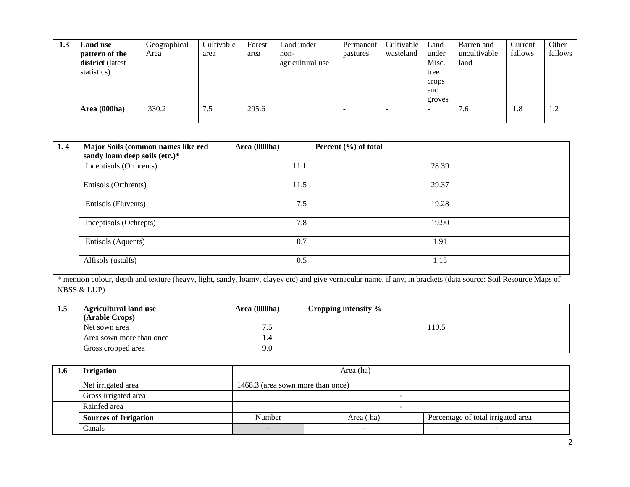| 1.3 | Land use<br>pattern of the<br>district (latest<br>statistics) | Geographical<br>Area | Cultivable<br>area | Forest<br>area | Land under<br>non-<br>agricultural use | Permanent<br>pastures | Cultivable<br>wasteland | Land<br>under<br>Misc.<br>tree<br>crops<br>and<br>groves | Barren and<br>uncultivable<br>land | Current<br>fallows | Other<br>fallows |
|-----|---------------------------------------------------------------|----------------------|--------------------|----------------|----------------------------------------|-----------------------|-------------------------|----------------------------------------------------------|------------------------------------|--------------------|------------------|
|     | Area (000ha)                                                  | 330.2                | 7.5                | 295.6          |                                        | -                     |                         | $\overline{\phantom{a}}$                                 | 7.6                                | 1.8                | 1.2              |

| 1.4 | Major Soils (common names like red<br>sandy loam deep soils (etc.)* | Area (000ha) | Percent $(\% )$ of total |
|-----|---------------------------------------------------------------------|--------------|--------------------------|
|     | Inceptisols (Orthrents)                                             | 11.1         | 28.39                    |
|     | Entisols (Orthrents)                                                | 11.5         | 29.37                    |
|     | Entisols (Fluvents)                                                 | 7.5          | 19.28                    |
|     | Inceptisols (Ochrepts)                                              | 7.8          | 19.90                    |
|     | Entisols (Aquents)                                                  | 0.7          | 1.91                     |
|     | Alfisols (ustalfs)                                                  | 0.5          | 1.15                     |

\* mention colour, depth and texture (heavy, light, sandy, loamy, clayey etc) and give vernacular name, if any, in brackets (data source: Soil Resource Maps of NBSS & LUP)

| 1.5 | <b>Agricultural land use</b><br>(Arable Crops) | Area (000ha) | Cropping intensity % |
|-----|------------------------------------------------|--------------|----------------------|
|     | Net sown area                                  | ت            | 19.5                 |
|     | Area sown more than once                       |              |                      |
|     | Gross cropped area                             | 9.0          |                      |

| 1.6 | <b>Irrigation</b>            |                                                           | Area (ha) |  |  |  |  |  |  |
|-----|------------------------------|-----------------------------------------------------------|-----------|--|--|--|--|--|--|
|     | Net irrigated area           | 1468.3 (area sown more than once)                         |           |  |  |  |  |  |  |
|     | Gross irrigated area         |                                                           | -         |  |  |  |  |  |  |
|     | Rainfed area                 |                                                           |           |  |  |  |  |  |  |
|     | <b>Sources of Irrigation</b> | Percentage of total irrigated area<br>Number<br>Area (ha) |           |  |  |  |  |  |  |
|     | Canals                       |                                                           |           |  |  |  |  |  |  |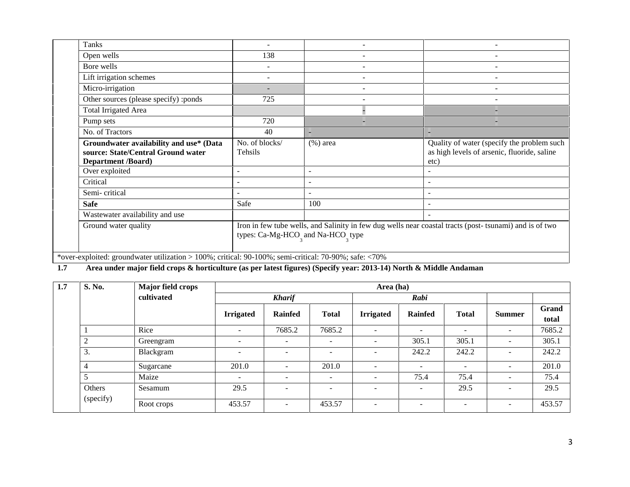| Tanks                                                                                                      |                                                                                                                                                                      |                          |                                                                                                   |  |  |  |  |  |
|------------------------------------------------------------------------------------------------------------|----------------------------------------------------------------------------------------------------------------------------------------------------------------------|--------------------------|---------------------------------------------------------------------------------------------------|--|--|--|--|--|
| Open wells                                                                                                 | 138                                                                                                                                                                  |                          |                                                                                                   |  |  |  |  |  |
| Bore wells                                                                                                 |                                                                                                                                                                      | $\overline{\phantom{a}}$ | $\overline{\phantom{a}}$                                                                          |  |  |  |  |  |
| Lift irrigation schemes                                                                                    |                                                                                                                                                                      |                          |                                                                                                   |  |  |  |  |  |
| Micro-irrigation                                                                                           |                                                                                                                                                                      |                          |                                                                                                   |  |  |  |  |  |
| Other sources (please specify) :ponds                                                                      | 725                                                                                                                                                                  |                          |                                                                                                   |  |  |  |  |  |
| <b>Total Irrigated Area</b>                                                                                |                                                                                                                                                                      |                          |                                                                                                   |  |  |  |  |  |
| Pump sets                                                                                                  | 720                                                                                                                                                                  |                          |                                                                                                   |  |  |  |  |  |
| No. of Tractors                                                                                            | 40                                                                                                                                                                   | -                        |                                                                                                   |  |  |  |  |  |
| Groundwater availability and use* (Data<br>source: State/Central Ground water<br><b>Department /Board)</b> | No. of blocks/<br>Tehsils                                                                                                                                            | $(\%)$ area              | Quality of water (specify the problem such<br>as high levels of arsenic, fluoride, saline<br>etc) |  |  |  |  |  |
| Over exploited                                                                                             | $\overline{\phantom{0}}$                                                                                                                                             | $\blacksquare$           |                                                                                                   |  |  |  |  |  |
| Critical                                                                                                   |                                                                                                                                                                      |                          |                                                                                                   |  |  |  |  |  |
| Semi-critical                                                                                              |                                                                                                                                                                      |                          |                                                                                                   |  |  |  |  |  |
| <b>Safe</b>                                                                                                | Safe                                                                                                                                                                 | 100                      |                                                                                                   |  |  |  |  |  |
| Wastewater availability and use                                                                            |                                                                                                                                                                      |                          |                                                                                                   |  |  |  |  |  |
| Ground water quality                                                                                       | Iron in few tube wells, and Salinity in few dug wells near coastal tracts (post-tsunami) and is of two<br>types: Ca-Mg-HCO <sub>2</sub> and Na-HCO <sub>2</sub> type |                          |                                                                                                   |  |  |  |  |  |

# **1.7 Area under major field crops & horticulture (as per latest figures) (Specify year: 2013-14) North & Middle Andaman**

| 1.7 | S. No.         | Major field crops |                          | Area (ha)                |                              |                          |                          |              |                          |                |  |  |
|-----|----------------|-------------------|--------------------------|--------------------------|------------------------------|--------------------------|--------------------------|--------------|--------------------------|----------------|--|--|
|     |                | cultivated        |                          | <b>Kharif</b>            |                              |                          | Rabi                     |              |                          |                |  |  |
|     |                |                   | <b>Irrigated</b>         | <b>Rainfed</b>           | <b>Total</b>                 | <b>Irrigated</b>         | Rainfed                  | <b>Total</b> | <b>Summer</b>            | Grand<br>total |  |  |
|     |                | Rice              | $\overline{a}$           | 7685.2                   | 7685.2                       | $\overline{\phantom{a}}$ | $\overline{\phantom{a}}$ | -            | $\sim$                   | 7685.2         |  |  |
|     | $\overline{2}$ | Greengram         | $\overline{\phantom{0}}$ | $\overline{\phantom{a}}$ | $\qquad \qquad \blacksquare$ | $\overline{\phantom{a}}$ | 305.1                    | 305.1        | -                        | 305.1          |  |  |
|     | 3.             | Blackgram         | $\overline{a}$           | $\overline{\phantom{0}}$ | $\qquad \qquad \blacksquare$ | $\overline{\phantom{a}}$ | 242.2                    | 242.2        | $\overline{\phantom{a}}$ | 242.2          |  |  |
|     | 4              | Sugarcane         | 201.0                    | $\overline{\phantom{0}}$ | 201.0                        | $\overline{\phantom{a}}$ | $\overline{\phantom{a}}$ | -            | $\overline{\phantom{a}}$ | 201.0          |  |  |
|     | 5              | Maize             |                          | $\overline{\phantom{a}}$ | $\overline{\phantom{0}}$     | $\overline{\phantom{a}}$ | 75.4                     | 75.4         | $\overline{\phantom{a}}$ | 75.4           |  |  |
|     | Others         | Sesamum           | 29.5                     | $\overline{\phantom{a}}$ | $\overline{\phantom{0}}$     | $\overline{\phantom{a}}$ | $\overline{\phantom{a}}$ | 29.5         | -                        | 29.5           |  |  |
|     | (specify)      | Root crops        | 453.57                   | $\overline{\phantom{a}}$ | 453.57                       | $\overline{\phantom{a}}$ | -                        | -            | $\overline{\phantom{a}}$ | 453.57         |  |  |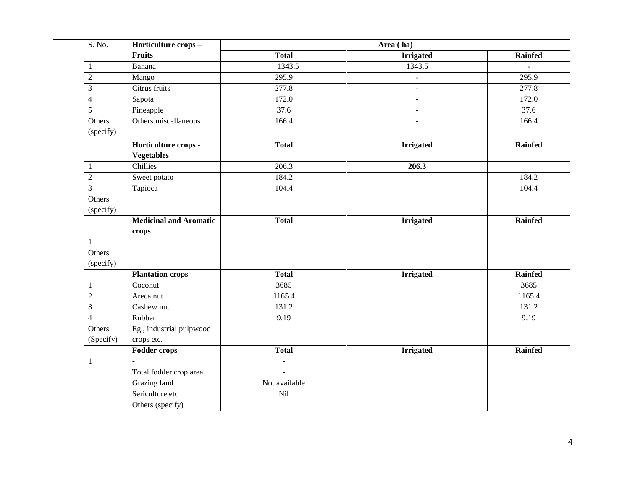| S. No.              | Horticulture crops -                      |                | Area (ha)        |                |
|---------------------|-------------------------------------------|----------------|------------------|----------------|
|                     | Fruits                                    | <b>Total</b>   | <b>Irrigated</b> | <b>Rainfed</b> |
| $\mathbf{1}$        | Banana                                    | 1343.5         | 1343.5           | $\blacksquare$ |
| $\mathfrak{2}$      | Mango                                     | 295.9          |                  | 295.9          |
| $\mathfrak{Z}$      | Citrus fruits                             | 277.8          | $\blacksquare$   | 277.8          |
| $\overline{4}$      | Sapota                                    | 172.0          | $\blacksquare$   | 172.0          |
| 5                   | Pineapple                                 | 37.6           | $\blacksquare$   | 37.6           |
| Others<br>(specify) | Others miscellaneous                      | 166.4          |                  | 166.4          |
|                     | Horticulture crops -<br><b>Vegetables</b> | <b>Total</b>   | <b>Irrigated</b> | Rainfed        |
| $\mathbf{1}$        | Chillies                                  | 206.3          | 206.3            |                |
| $\sqrt{2}$          | Sweet potato                              | 184.2          |                  | 184.2          |
| $\mathfrak{Z}$      | Tapioca                                   | 104.4          |                  | 104.4          |
| Others<br>(specify) |                                           |                |                  |                |
|                     | <b>Medicinal and Aromatic</b><br>crops    | <b>Total</b>   | <b>Irrigated</b> | <b>Rainfed</b> |
| 1                   |                                           |                |                  |                |
| Others<br>(specify) |                                           |                |                  |                |
|                     | <b>Plantation crops</b>                   | <b>Total</b>   | <b>Irrigated</b> | <b>Rainfed</b> |
| 1                   | Coconut                                   | 3685           |                  | 3685           |
| $\sqrt{2}$          | Areca nut                                 | 1165.4         |                  | 1165.4         |
| 3                   | Cashew nut                                | 131.2          |                  | 131.2          |
| $\overline{4}$      | Rubber                                    | 9.19           |                  | 9.19           |
| Others<br>(Specify) | Eg., industrial pulpwood<br>crops etc.    |                |                  |                |
|                     | <b>Fodder crops</b>                       | <b>Total</b>   | <b>Irrigated</b> | <b>Rainfed</b> |
| $\mathbf{1}$        |                                           | $\blacksquare$ |                  |                |
|                     | Total fodder crop area                    | $\overline{a}$ |                  |                |
|                     | Grazing land                              | Not available  |                  |                |
|                     | Sericulture etc                           | Nil            |                  |                |
|                     | Others (specify)                          |                |                  |                |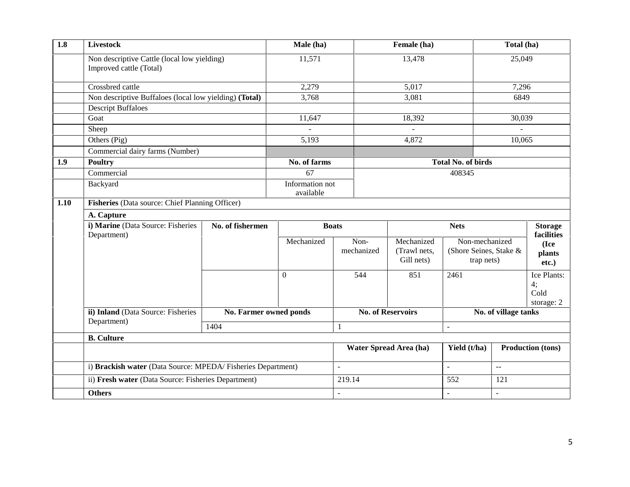| 1.8  | Livestock                                                              |                        | Male (ha)                    |                    | Female (ha)                              | Total (ha)                                             |                      |                                         |  |  |
|------|------------------------------------------------------------------------|------------------------|------------------------------|--------------------|------------------------------------------|--------------------------------------------------------|----------------------|-----------------------------------------|--|--|
|      | Non descriptive Cattle (local low yielding)<br>Improved cattle (Total) |                        | 11,571                       | 13,478             |                                          | 25,049                                                 |                      |                                         |  |  |
|      | Crossbred cattle                                                       |                        | 2,279                        | 5,017              |                                          |                                                        | 7,296                |                                         |  |  |
|      | Non descriptive Buffaloes (local low yielding) (Total)                 |                        | 3,768                        |                    | 3,081                                    |                                                        | 6849                 |                                         |  |  |
|      | <b>Descript Buffaloes</b><br>Goat<br>Sheep                             |                        |                              |                    |                                          |                                                        |                      |                                         |  |  |
|      |                                                                        |                        | 11,647                       |                    | 18,392                                   |                                                        | 30,039               |                                         |  |  |
|      |                                                                        |                        |                              |                    | $\overline{a}$                           |                                                        |                      |                                         |  |  |
|      | Others (Pig)                                                           |                        | 5,193                        |                    | 4,872                                    |                                                        | 10,065               |                                         |  |  |
|      | Commercial dairy farms (Number)                                        |                        |                              |                    |                                          |                                                        |                      |                                         |  |  |
| 1.9  | <b>Poultry</b>                                                         |                        | No. of farms                 |                    |                                          | <b>Total No. of birds</b>                              |                      |                                         |  |  |
|      | Commercial                                                             |                        | 67                           |                    |                                          | 408345                                                 |                      |                                         |  |  |
|      | Backyard                                                               |                        | Information not<br>available |                    |                                          |                                                        |                      |                                         |  |  |
| 1.10 | Fisheries (Data source: Chief Planning Officer)                        |                        |                              |                    |                                          |                                                        |                      |                                         |  |  |
|      | A. Capture                                                             |                        |                              |                    |                                          |                                                        |                      |                                         |  |  |
|      | i) Marine (Data Source: Fisheries<br>Department)                       | No. of fishermen       |                              | <b>Boats</b>       |                                          | <b>Nets</b>                                            |                      | <b>Storage</b><br>facilities            |  |  |
|      |                                                                        |                        | Mechanized                   | Non-<br>mechanized | Mechanized<br>(Trawl nets,<br>Gill nets) | Non-mechanized<br>(Shore Seines, Stake &<br>trap nets) |                      | (Ice<br>plants<br>etc.)                 |  |  |
|      |                                                                        |                        | $\Omega$                     | 544                | 851                                      | 2461                                                   |                      | Ice Plants:<br>4:<br>Cold<br>storage: 2 |  |  |
|      | ii) Inland (Data Source: Fisheries                                     | No. Farmer owned ponds |                              |                    | <b>No. of Reservoirs</b>                 |                                                        | No. of village tanks |                                         |  |  |
|      | Department)                                                            | 1404                   |                              | 1                  |                                          | $\blacksquare$                                         |                      |                                         |  |  |
|      | <b>B.</b> Culture                                                      |                        |                              |                    |                                          |                                                        |                      |                                         |  |  |
|      |                                                                        |                        |                              |                    | Water Spread Area (ha)                   |                                                        |                      | <b>Production (tons)</b>                |  |  |
|      | i) Brackish water (Data Source: MPEDA/Fisheries Department)            | $\omega$               |                              | $\mathbf{r}$       | $\mathbb{L}^{\mathbb{L}}$                |                                                        |                      |                                         |  |  |
|      | ii) Fresh water (Data Source: Fisheries Department)                    |                        |                              | 219.14             |                                          | 552                                                    | 121                  |                                         |  |  |
|      | <b>Others</b>                                                          |                        |                              |                    | $\mathbf{r}$                             | $\sim$                                                 |                      |                                         |  |  |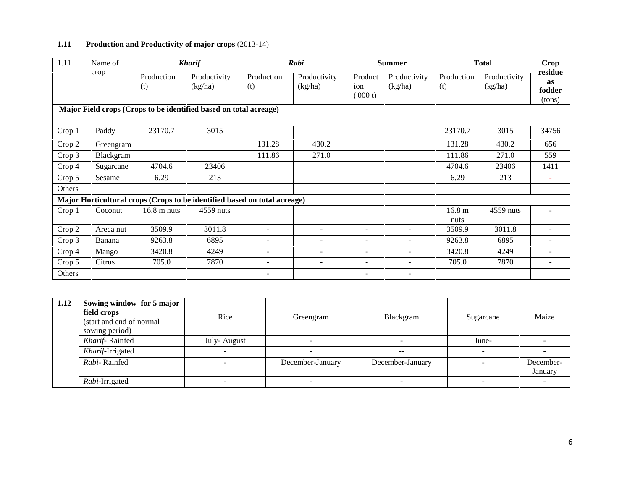## **1.11 Production and Productivity of major crops** (2013-14)

| 1.11          | Name of   | <b>Kharif</b>         |                                                                           |                              | Rabi                     |                           | <b>Summer</b>            |                           | <b>Total</b>            | <b>Crop</b>                              |
|---------------|-----------|-----------------------|---------------------------------------------------------------------------|------------------------------|--------------------------|---------------------------|--------------------------|---------------------------|-------------------------|------------------------------------------|
|               | crop      | Production<br>(t)     | Productivity<br>(kg/ha)                                                   | Production<br>(t)            | Productivity<br>(kg/ha)  | Product<br>ion<br>(000 t) | Productivity<br>(kg/ha)  | Production<br>(t)         | Productivity<br>(kg/ha) | residue<br><b>as</b><br>fodder<br>(tons) |
|               |           |                       | Major Field crops (Crops to be identified based on total acreage)         |                              |                          |                           |                          |                           |                         |                                          |
| Crop 1        | Paddy     | 23170.7               | 3015                                                                      |                              |                          |                           |                          | 23170.7                   | 3015                    | 34756                                    |
| Crop 2        | Greengram |                       |                                                                           | 131.28                       | 430.2                    |                           |                          | 131.28                    | 430.2                   | 656                                      |
| Crop 3        | Blackgram |                       |                                                                           | 111.86                       | 271.0                    |                           |                          | 111.86                    | 271.0                   | 559                                      |
| Crop 4        | Sugarcane | 4704.6                | 23406                                                                     |                              |                          |                           |                          | 4704.6                    | 23406                   | 1411                                     |
| Crop 5        | Sesame    | 6.29                  | 213                                                                       |                              |                          |                           |                          | 6.29                      | 213                     | $\overline{\phantom{a}}$                 |
| <b>Others</b> |           |                       |                                                                           |                              |                          |                           |                          |                           |                         |                                          |
|               |           |                       | Major Horticultural crops (Crops to be identified based on total acreage) |                              |                          |                           |                          |                           |                         |                                          |
| Crop 1        | Coconut   | $16.8 \text{ m}$ nuts | 4559 nuts                                                                 |                              |                          |                           |                          | 16.8 <sub>m</sub><br>nuts | 4559 nuts               |                                          |
| Crop 2        | Areca nut | 3509.9                | 3011.8                                                                    |                              |                          | $\overline{\phantom{a}}$  |                          | 3509.9                    | 3011.8                  |                                          |
| Crop 3        | Banana    | 9263.8                | 6895                                                                      | ٠                            |                          | $\overline{\phantom{a}}$  | $\blacksquare$           | 9263.8                    | 6895                    | $\overline{\phantom{a}}$                 |
| Crop 4        | Mango     | 3420.8                | 4249                                                                      | $\qquad \qquad \blacksquare$ | $\overline{\phantom{a}}$ | $\overline{\phantom{a}}$  | $\overline{\phantom{a}}$ | 3420.8                    | 4249                    | $\overline{\phantom{a}}$                 |
| Crop 5        | Citrus    | 705.0                 | 7870                                                                      | $\overline{\phantom{0}}$     |                          |                           |                          | 705.0                     | 7870                    | $\qquad \qquad \blacksquare$             |
| Others        |           |                       |                                                                           | $\overline{\phantom{0}}$     |                          | $\overline{\phantom{a}}$  | $\overline{\phantom{a}}$ |                           |                         |                                          |

| 1.12 | Sowing window for 5 major<br>field crops<br>(start and end of normal<br>sowing period) | Rice        | Greengram        | Blackgram        | Sugarcane | Maize                |
|------|----------------------------------------------------------------------------------------|-------------|------------------|------------------|-----------|----------------------|
|      | Kharif-Rainfed                                                                         | July-August |                  |                  | June-     |                      |
|      | Kharif-Irrigated                                                                       |             |                  | $- -$            |           |                      |
|      | Rabi-Rainfed                                                                           |             | December-January | December-January |           | December-<br>January |
|      | Rabi-Irrigated                                                                         |             |                  |                  |           |                      |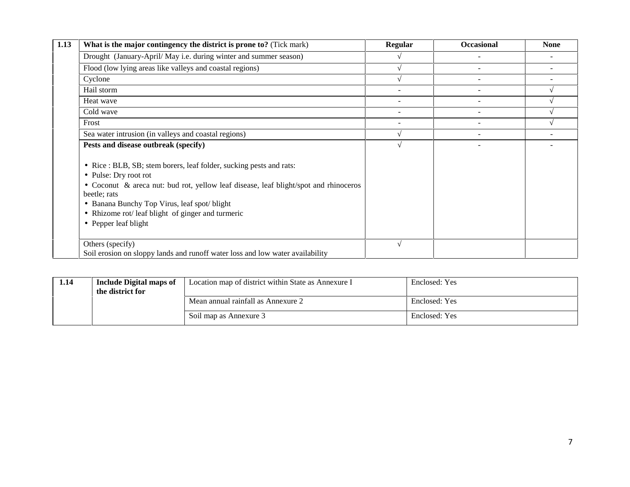| 1.13 | What is the major contingency the district is prone to? (Tick mark)                                                                                                                                                                                                                                                              | <b>Regular</b>           | <b>Occasional</b>        | <b>None</b> |
|------|----------------------------------------------------------------------------------------------------------------------------------------------------------------------------------------------------------------------------------------------------------------------------------------------------------------------------------|--------------------------|--------------------------|-------------|
|      | Drought (January-April/May i.e. during winter and summer season)                                                                                                                                                                                                                                                                 |                          |                          |             |
|      | Flood (low lying areas like valleys and coastal regions)                                                                                                                                                                                                                                                                         |                          |                          |             |
|      | Cyclone                                                                                                                                                                                                                                                                                                                          |                          |                          |             |
|      | Hail storm                                                                                                                                                                                                                                                                                                                       | $\overline{\phantom{a}}$ |                          |             |
|      | Heat wave                                                                                                                                                                                                                                                                                                                        |                          |                          |             |
|      | Cold wave                                                                                                                                                                                                                                                                                                                        | $\overline{\phantom{a}}$ |                          |             |
|      | Frost                                                                                                                                                                                                                                                                                                                            | $\overline{\phantom{a}}$ | $\overline{\phantom{a}}$ |             |
|      | Sea water intrusion (in valleys and coastal regions)                                                                                                                                                                                                                                                                             |                          |                          |             |
|      | Pests and disease outbreak (specify)                                                                                                                                                                                                                                                                                             |                          |                          |             |
|      | • Rice : BLB, SB; stem borers, leaf folder, sucking pests and rats:<br>• Pulse: Dry root rot<br>• Coconut & areca nut: bud rot, yellow leaf disease, leaf blight/spot and rhinoceros<br>beetle; rats<br>• Banana Bunchy Top Virus, leaf spot/blight<br>• Rhizome rot/ leaf blight of ginger and turmeric<br>• Pepper leaf blight |                          |                          |             |
|      | Others (specify)<br>Soil erosion on sloppy lands and runoff water loss and low water availability                                                                                                                                                                                                                                |                          |                          |             |

| 1.14 | <b>Include Digital maps of</b><br>the district for | Location map of district within State as Annexure I | Enclosed: Yes |
|------|----------------------------------------------------|-----------------------------------------------------|---------------|
|      |                                                    | Mean annual rainfall as Annexure 2                  | Enclosed: Yes |
|      |                                                    | Soil map as Annexure 3                              | Enclosed: Yes |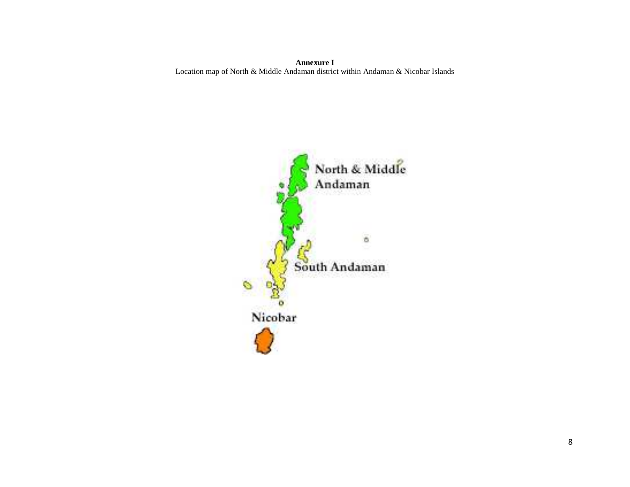**Annexure I** Location map of North & Middle Andaman district within Andaman & Nicobar Islands

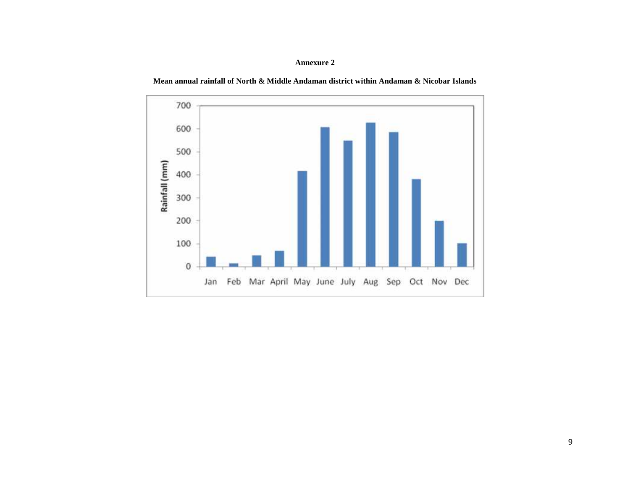#### **Annexure 2**

**Mean annual rainfall of North & Middle Andaman district within Andaman & Nicobar Islands**

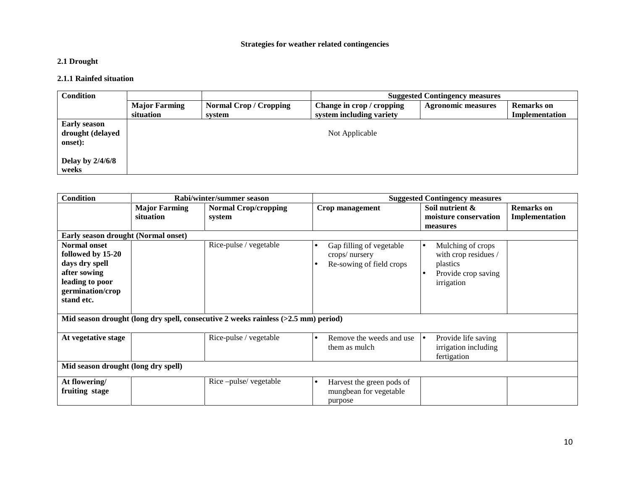#### **Strategies for weather related contingencies**

## **2.1 Drought**

#### **2.1.1 Rainfed situation**

| <b>Condition</b>            |                                   | <b>Suggested Contingency measures</b>   |                                                       |                           |                                     |  |
|-----------------------------|-----------------------------------|-----------------------------------------|-------------------------------------------------------|---------------------------|-------------------------------------|--|
|                             | <b>Major Farming</b><br>situation | <b>Normal Crop / Cropping</b><br>system | Change in crop / cropping<br>system including variety | <b>Agronomic measures</b> | <b>Remarks</b> on<br>Implementation |  |
| <b>Early season</b>         |                                   |                                         |                                                       |                           |                                     |  |
| drought (delayed<br>onset): |                                   |                                         | Not Applicable                                        |                           |                                     |  |
| Delay by $2/4/6/8$<br>weeks |                                   |                                         |                                                       |                           |                                     |  |

| <b>Condition</b>                                                                                                                |                                   | Rabi/winter/summer season                                                            | <b>Suggested Contingency measures</b>                                 |                                                                                                         |                                     |
|---------------------------------------------------------------------------------------------------------------------------------|-----------------------------------|--------------------------------------------------------------------------------------|-----------------------------------------------------------------------|---------------------------------------------------------------------------------------------------------|-------------------------------------|
|                                                                                                                                 | <b>Major Farming</b><br>situation | <b>Normal Crop/cropping</b><br>system                                                | Crop management                                                       | Soil nutrient &<br>moisture conservation<br>measures                                                    | <b>Remarks</b> on<br>Implementation |
| Early season drought (Normal onset)                                                                                             |                                   |                                                                                      |                                                                       |                                                                                                         |                                     |
| <b>Normal onset</b><br>followed by 15-20<br>days dry spell<br>after sowing<br>leading to poor<br>germination/crop<br>stand etc. |                                   | Rice-pulse / vegetable                                                               | Gap filling of vegetable<br>crops/nursery<br>Re-sowing of field crops | Mulching of crops<br>$\bullet$<br>with crop residues /<br>plastics<br>Provide crop saving<br>irrigation |                                     |
|                                                                                                                                 |                                   | Mid season drought (long dry spell, consecutive 2 weeks rainless $(>2.5$ mm) period) |                                                                       |                                                                                                         |                                     |
| At vegetative stage                                                                                                             |                                   | Rice-pulse / vegetable                                                               | Remove the weeds and use<br>them as mulch                             | Provide life saving<br>ه ا<br>irrigation including<br>fertigation                                       |                                     |
| Mid season drought (long dry spell)                                                                                             |                                   |                                                                                      |                                                                       |                                                                                                         |                                     |
| At flowering/<br>fruiting stage                                                                                                 |                                   | Rice-pulse/vegetable                                                                 | Harvest the green pods of<br>mungbean for vegetable<br>purpose        |                                                                                                         |                                     |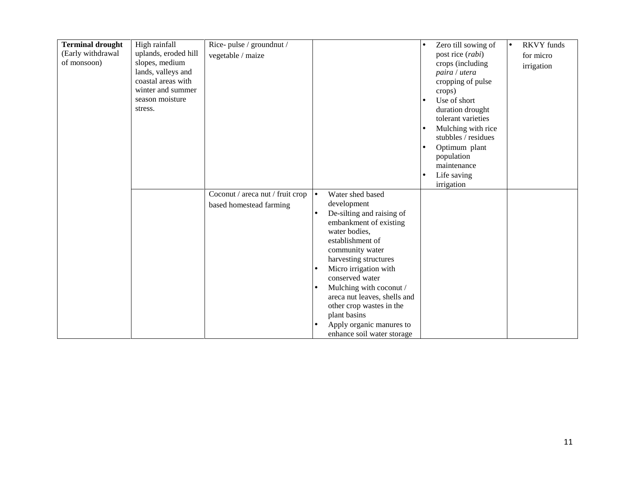| <b>Terminal drought</b><br>(Early withdrawal<br>of monsoon) | High rainfall<br>uplands, eroded hill<br>slopes, medium<br>lands, valleys and<br>coastal areas with<br>winter and summer<br>season moisture<br>stress. | Rice-pulse / groundnut /<br>vegetable / maize          |                                                                                                                                                                                                                            | <b>RKVY</b> funds<br>Zero till sowing of<br>$\bullet$<br>post rice (rabi)<br>for micro<br>crops (including<br>irrigation<br>paira / utera<br>cropping of pulse<br>crops)<br>Use of short<br>duration drought<br>tolerant varieties<br>Mulching with rice<br>stubbles / residues<br>Optimum plant<br>population<br>maintenance<br>Life saving<br>irrigation |  |
|-------------------------------------------------------------|--------------------------------------------------------------------------------------------------------------------------------------------------------|--------------------------------------------------------|----------------------------------------------------------------------------------------------------------------------------------------------------------------------------------------------------------------------------|------------------------------------------------------------------------------------------------------------------------------------------------------------------------------------------------------------------------------------------------------------------------------------------------------------------------------------------------------------|--|
|                                                             |                                                                                                                                                        | Coconut / areca nut / fruit crop $\vert \bullet \vert$ | Water shed based                                                                                                                                                                                                           |                                                                                                                                                                                                                                                                                                                                                            |  |
|                                                             |                                                                                                                                                        | based homestead farming                                | development<br>De-silting and raising of<br>embankment of existing<br>water bodies,<br>establishment of<br>community water<br>harvesting structures<br>Micro irrigation with<br>conserved water<br>Mulching with coconut / |                                                                                                                                                                                                                                                                                                                                                            |  |
|                                                             |                                                                                                                                                        |                                                        | areca nut leaves, shells and<br>other crop wastes in the<br>plant basins<br>Apply organic manures to<br>enhance soil water storage                                                                                         |                                                                                                                                                                                                                                                                                                                                                            |  |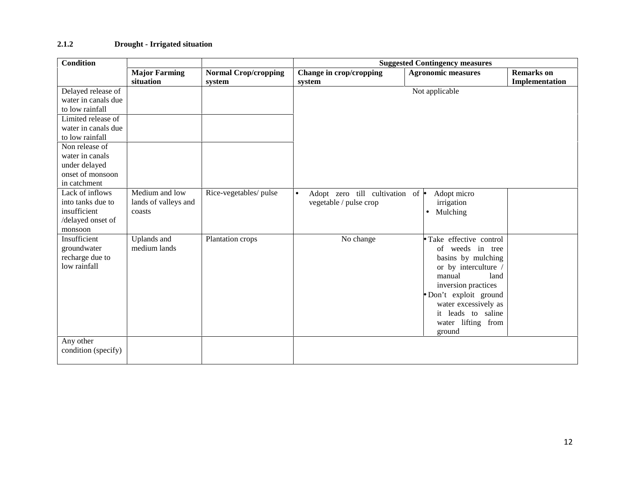## **2.1.2 Drought - Irrigated situation**

| <b>Condition</b><br><b>Suggested Contingency measures</b> |                      |                             |                                             |                           |                   |
|-----------------------------------------------------------|----------------------|-----------------------------|---------------------------------------------|---------------------------|-------------------|
|                                                           | <b>Major Farming</b> | <b>Normal Crop/cropping</b> | Change in crop/cropping                     | <b>Agronomic measures</b> | <b>Remarks</b> on |
|                                                           | situation            | system                      | system                                      |                           | Implementation    |
| Delayed release of                                        |                      |                             |                                             | Not applicable            |                   |
| water in canals due                                       |                      |                             |                                             |                           |                   |
| to low rainfall                                           |                      |                             |                                             |                           |                   |
| Limited release of                                        |                      |                             |                                             |                           |                   |
| water in canals due                                       |                      |                             |                                             |                           |                   |
| to low rainfall                                           |                      |                             |                                             |                           |                   |
| Non release of                                            |                      |                             |                                             |                           |                   |
| water in canals                                           |                      |                             |                                             |                           |                   |
| under delayed                                             |                      |                             |                                             |                           |                   |
| onset of monsoon                                          |                      |                             |                                             |                           |                   |
| in catchment                                              |                      |                             |                                             |                           |                   |
| Lack of inflows                                           | Medium and low       | Rice-vegetables/ pulse      | Adopt zero till cultivation of<br>$\bullet$ | Adopt micro               |                   |
| into tanks due to                                         | lands of valleys and |                             | vegetable / pulse crop                      | irrigation                |                   |
| insufficient                                              | coasts               |                             |                                             | Mulching<br>$\bullet$     |                   |
| /delayed onset of                                         |                      |                             |                                             |                           |                   |
| monsoon                                                   |                      |                             |                                             |                           |                   |
| Insufficient                                              | Uplands and          | Plantation crops            | No change                                   | Take effective control    |                   |
| groundwater                                               | medium lands         |                             |                                             | of weeds in tree          |                   |
| recharge due to                                           |                      |                             |                                             | basins by mulching        |                   |
| low rainfall                                              |                      |                             |                                             | or by interculture /      |                   |
|                                                           |                      |                             |                                             | manual<br>land            |                   |
|                                                           |                      |                             |                                             | inversion practices       |                   |
|                                                           |                      |                             |                                             | Don't exploit ground      |                   |
|                                                           |                      |                             |                                             | water excessively as      |                   |
|                                                           |                      |                             |                                             | it leads to saline        |                   |
|                                                           |                      |                             |                                             | water lifting from        |                   |
|                                                           |                      |                             |                                             | ground                    |                   |
| Any other                                                 |                      |                             |                                             |                           |                   |
| condition (specify)                                       |                      |                             |                                             |                           |                   |
|                                                           |                      |                             |                                             |                           |                   |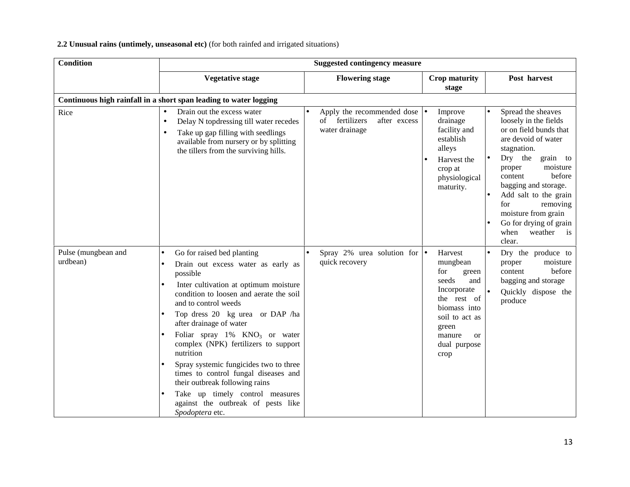## **2.2 Unusual rains (untimely, unseasonal etc)** (for both rainfed and irrigated situations)

| <b>Condition</b>                |                                                                                                                                                                                                                                                                                                                                                                                                                                                                                                                                                                          | <b>Suggested contingency measure</b>                                                         |                                                                                                                                                                                                                                                                                                                                                                                                                                                                        |
|---------------------------------|--------------------------------------------------------------------------------------------------------------------------------------------------------------------------------------------------------------------------------------------------------------------------------------------------------------------------------------------------------------------------------------------------------------------------------------------------------------------------------------------------------------------------------------------------------------------------|----------------------------------------------------------------------------------------------|------------------------------------------------------------------------------------------------------------------------------------------------------------------------------------------------------------------------------------------------------------------------------------------------------------------------------------------------------------------------------------------------------------------------------------------------------------------------|
|                                 | <b>Vegetative stage</b>                                                                                                                                                                                                                                                                                                                                                                                                                                                                                                                                                  | <b>Flowering stage</b>                                                                       | Crop maturity<br>Post harvest<br>stage                                                                                                                                                                                                                                                                                                                                                                                                                                 |
|                                 | Continuous high rainfall in a short span leading to water logging                                                                                                                                                                                                                                                                                                                                                                                                                                                                                                        |                                                                                              |                                                                                                                                                                                                                                                                                                                                                                                                                                                                        |
| Rice                            | Drain out the excess water<br>Delay N topdressing till water recedes<br>$\bullet$<br>Take up gap filling with seedlings<br>available from nursery or by splitting<br>the tillers from the surviving hills.                                                                                                                                                                                                                                                                                                                                                               | Apply the recommended dose $  \bullet  $<br>after excess<br>of fertilizers<br>water drainage | Spread the sheaves<br>Improve<br>drainage<br>loosely in the fields<br>facility and<br>or on field bunds that<br>establish<br>are devoid of water<br>alleys<br>stagnation.<br>Dry the<br>grain to<br>Harvest the<br>moisture<br>proper<br>crop at<br>before<br>content<br>physiological<br>bagging and storage.<br>maturity.<br>Add salt to the grain<br>for<br>removing<br>moisture from grain<br>Go for drying of grain<br>weather<br>when<br>$\frac{1}{1}$<br>clear. |
| Pulse (mungbean and<br>urdbean) | Go for raised bed planting<br>Drain out excess water as early as<br>possible<br>Inter cultivation at optimum moisture<br>condition to loosen and aerate the soil<br>and to control weeds<br>Top dress 20 kg urea or DAP /ha<br>after drainage of water<br>Foliar spray 1% KNO <sub>3</sub> or water<br>complex (NPK) fertilizers to support<br>nutrition<br>Spray systemic fungicides two to three<br>times to control fungal diseases and<br>their outbreak following rains<br>Take up timely control measures<br>against the outbreak of pests like<br>Spodoptera etc. | Spray 2% urea solution for $\bullet$<br>quick recovery                                       | Harvest<br>Dry the produce to<br>$\bullet$<br>moisture<br>mungbean<br>proper<br>before<br>content<br>for<br>green<br>seeds<br>and<br>bagging and storage<br>Incorporate<br>Quickly dispose the<br>the rest of<br>produce<br>biomass into<br>soil to act as<br>green<br>manure<br><b>or</b><br>dual purpose<br>crop                                                                                                                                                     |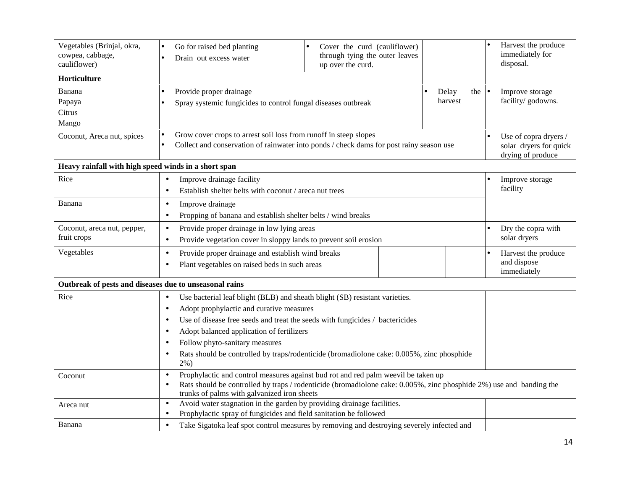| Vegetables (Brinjal, okra,<br>cowpea, cabbage,<br>cauliflower) | Go for raised bed planting<br>Cover the curd (cauliflower)<br>$\bullet$<br>through tying the outer leaves<br>Drain out excess water<br>$\bullet$<br>up over the curd.                                                                                                                                                                                                                                                                                                        |                                                                      | Harvest the produce<br>immediately for<br>disposal. |  |  |
|----------------------------------------------------------------|------------------------------------------------------------------------------------------------------------------------------------------------------------------------------------------------------------------------------------------------------------------------------------------------------------------------------------------------------------------------------------------------------------------------------------------------------------------------------|----------------------------------------------------------------------|-----------------------------------------------------|--|--|
| Horticulture                                                   |                                                                                                                                                                                                                                                                                                                                                                                                                                                                              |                                                                      |                                                     |  |  |
| Banana<br>Papaya<br>Citrus<br>Mango                            | Provide proper drainage<br>Spray systemic fungicides to control fungal diseases outbreak                                                                                                                                                                                                                                                                                                                                                                                     | Delay<br>the<br>harvest                                              | Improve storage<br>facility/godowns.                |  |  |
| Coconut, Areca nut, spices                                     | Grow cover crops to arrest soil loss from runoff in steep slopes<br>Collect and conservation of rainwater into ponds / check dams for post rainy season use<br>$\bullet$                                                                                                                                                                                                                                                                                                     | Use of copra dryers /<br>solar dryers for quick<br>drying of produce |                                                     |  |  |
| Heavy rainfall with high speed winds in a short span           |                                                                                                                                                                                                                                                                                                                                                                                                                                                                              |                                                                      |                                                     |  |  |
| Rice                                                           | Improve drainage facility<br>$\bullet$<br>Establish shelter belts with coconut / areca nut trees<br>$\bullet$                                                                                                                                                                                                                                                                                                                                                                | Improve storage<br>facility                                          |                                                     |  |  |
| Banana                                                         | Improve drainage<br>$\bullet$<br>Propping of banana and establish shelter belts / wind breaks<br>$\bullet$                                                                                                                                                                                                                                                                                                                                                                   |                                                                      |                                                     |  |  |
| Coconut, areca nut, pepper,<br>fruit crops                     | Provide proper drainage in low lying areas<br>$\bullet$<br>Provide vegetation cover in sloppy lands to prevent soil erosion<br>$\bullet$                                                                                                                                                                                                                                                                                                                                     | Dry the copra with<br>solar dryers                                   |                                                     |  |  |
| Vegetables                                                     | Provide proper drainage and establish wind breaks<br>$\bullet$<br>Plant vegetables on raised beds in such areas<br>$\bullet$                                                                                                                                                                                                                                                                                                                                                 |                                                                      |                                                     |  |  |
| Outbreak of pests and diseases due to unseasonal rains         |                                                                                                                                                                                                                                                                                                                                                                                                                                                                              |                                                                      |                                                     |  |  |
| Rice                                                           | Use bacterial leaf blight (BLB) and sheath blight (SB) resistant varieties.<br>$\bullet$<br>Adopt prophylactic and curative measures<br>$\bullet$<br>Use of disease free seeds and treat the seeds with fungicides / bactericides<br>$\bullet$<br>Adopt balanced application of fertilizers<br>$\bullet$<br>Follow phyto-sanitary measures<br>$\bullet$<br>Rats should be controlled by traps/rodenticide (bromadiolone cake: 0.005%, zinc phosphide<br>$\bullet$<br>$2\%$ ) |                                                                      |                                                     |  |  |
| Coconut                                                        | Prophylactic and control measures against bud rot and red palm weevil be taken up<br>$\bullet$<br>Rats should be controlled by traps / rodenticide (bromadiolone cake: 0.005%, zinc phosphide 2%) use and banding the<br>$\bullet$<br>trunks of palms with galvanized iron sheets                                                                                                                                                                                            |                                                                      |                                                     |  |  |
| Areca nut                                                      | Avoid water stagnation in the garden by providing drainage facilities.<br>$\bullet$<br>Prophylactic spray of fungicides and field sanitation be followed<br>$\bullet$                                                                                                                                                                                                                                                                                                        |                                                                      |                                                     |  |  |
| Banana                                                         | Take Sigatoka leaf spot control measures by removing and destroying severely infected and<br>$\bullet$                                                                                                                                                                                                                                                                                                                                                                       |                                                                      |                                                     |  |  |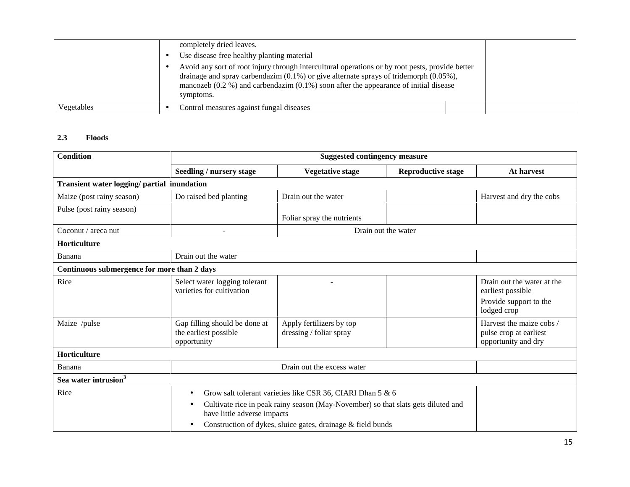|            | completely dried leaves.                                                                                                                                                                                                                                                                                   |  |
|------------|------------------------------------------------------------------------------------------------------------------------------------------------------------------------------------------------------------------------------------------------------------------------------------------------------------|--|
|            | Use disease free healthy planting material                                                                                                                                                                                                                                                                 |  |
|            | Avoid any sort of root injury through intercultural operations or by root pests, provide better<br>drainage and spray carbendazim $(0.1\%)$ or give alternate sprays of tridemorph $(0.05\%)$ ,<br>mancozeb $(0.2 \%)$ and carbendazim $(0.1\%)$ soon after the appearance of initial disease<br>symptoms. |  |
| Vegetables | Control measures against fungal diseases                                                                                                                                                                                                                                                                   |  |

#### **2.3 Floods**

| <b>Condition</b>                            |                                                                       | <b>Suggested contingency measure</b>                                                                                                                                                                                                          |                           |                                                                                          |  |
|---------------------------------------------|-----------------------------------------------------------------------|-----------------------------------------------------------------------------------------------------------------------------------------------------------------------------------------------------------------------------------------------|---------------------------|------------------------------------------------------------------------------------------|--|
|                                             | Seedling / nursery stage                                              | <b>Vegetative stage</b>                                                                                                                                                                                                                       | <b>Reproductive stage</b> | <b>At harvest</b>                                                                        |  |
| Transient water logging/ partial inundation |                                                                       |                                                                                                                                                                                                                                               |                           |                                                                                          |  |
| Maize (post rainy season)                   | Do raised bed planting                                                | Drain out the water                                                                                                                                                                                                                           |                           | Harvest and dry the cobs                                                                 |  |
| Pulse (post rainy season)                   |                                                                       | Foliar spray the nutrients                                                                                                                                                                                                                    |                           |                                                                                          |  |
| Coconut / areca nut                         |                                                                       | Drain out the water                                                                                                                                                                                                                           |                           |                                                                                          |  |
| Horticulture                                |                                                                       |                                                                                                                                                                                                                                               |                           |                                                                                          |  |
| Banana                                      | Drain out the water                                                   |                                                                                                                                                                                                                                               |                           |                                                                                          |  |
| Continuous submergence for more than 2 days |                                                                       |                                                                                                                                                                                                                                               |                           |                                                                                          |  |
| Rice                                        | Select water logging tolerant<br>varieties for cultivation            |                                                                                                                                                                                                                                               |                           | Drain out the water at the<br>earliest possible<br>Provide support to the<br>lodged crop |  |
| Maize /pulse                                | Gap filling should be done at<br>the earliest possible<br>opportunity | Apply fertilizers by top<br>dressing / foliar spray                                                                                                                                                                                           |                           | Harvest the maize cobs /<br>pulse crop at earliest<br>opportunity and dry                |  |
| <b>Horticulture</b>                         |                                                                       |                                                                                                                                                                                                                                               |                           |                                                                                          |  |
| Banana                                      |                                                                       | Drain out the excess water                                                                                                                                                                                                                    |                           |                                                                                          |  |
| Sea water intrusion <sup>3</sup>            |                                                                       |                                                                                                                                                                                                                                               |                           |                                                                                          |  |
| Rice                                        | $\bullet$<br>$\bullet$<br>$\bullet$                                   | Grow salt tolerant varieties like CSR 36, CIARI Dhan 5 & 6<br>Cultivate rice in peak rainy season (May-November) so that slats gets diluted and<br>have little adverse impacts<br>Construction of dykes, sluice gates, drainage & field bunds |                           |                                                                                          |  |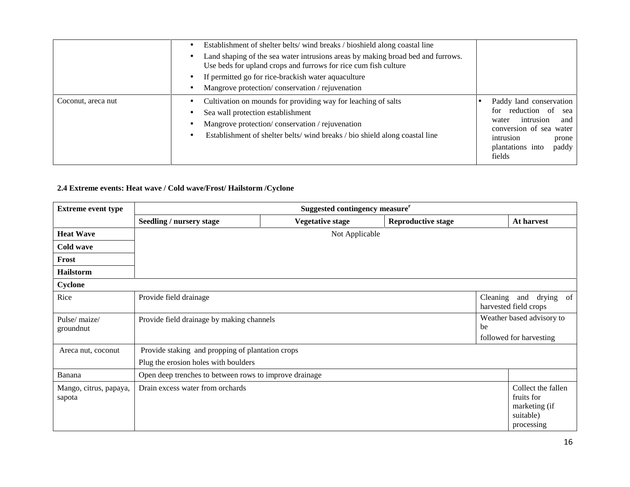|                    | Establishment of shelter belts/wind breaks / bioshield along coastal line<br>Land shaping of the sea water intrusions areas by making broad bed and furrows.<br>Use beds for upland crops and furrows for rice cum fish culture<br>If permitted go for rice-brackish water aquaculture<br>Mangrove protection/conservation/rejuvenation |                                                                                                                                                                         |
|--------------------|-----------------------------------------------------------------------------------------------------------------------------------------------------------------------------------------------------------------------------------------------------------------------------------------------------------------------------------------|-------------------------------------------------------------------------------------------------------------------------------------------------------------------------|
| Coconut, areca nut | Cultivation on mounds for providing way for leaching of salts<br>Sea wall protection establishment<br>Mangrove protection/conservation/rejuvenation<br>Establishment of shelter belts/wind breaks / bio shield along coastal line                                                                                                       | Paddy land conservation<br>for reduction of<br>sea<br>intrusion<br>and<br>water<br>conversion of sea water<br>intrusion<br>prone<br>plantations into<br>paddy<br>fields |

# **2.4 Extreme events: Heat wave / Cold wave/Frost/ Hailstorm /Cyclone**

| <b>Extreme event type</b>        |                                                        | Suggested contingency measure <sup>r</sup> |                                                      |  |                                                                              |
|----------------------------------|--------------------------------------------------------|--------------------------------------------|------------------------------------------------------|--|------------------------------------------------------------------------------|
|                                  | Seedling / nursery stage                               | <b>Vegetative stage</b>                    | <b>Reproductive stage</b>                            |  | At harvest                                                                   |
| <b>Heat Wave</b>                 |                                                        | Not Applicable                             |                                                      |  |                                                                              |
| Cold wave                        |                                                        |                                            |                                                      |  |                                                                              |
| Frost                            |                                                        |                                            |                                                      |  |                                                                              |
| <b>Hailstorm</b>                 |                                                        |                                            |                                                      |  |                                                                              |
| Cyclone                          |                                                        |                                            |                                                      |  |                                                                              |
| Rice                             | Provide field drainage                                 |                                            |                                                      |  | Cleaning and drying of<br>harvested field crops                              |
| Pulse/ maize/<br>groundnut       | Provide field drainage by making channels<br>be        |                                            | Weather based advisory to<br>followed for harvesting |  |                                                                              |
| Areca nut, coconut               | Provide staking and propping of plantation crops       |                                            |                                                      |  |                                                                              |
|                                  | Plug the erosion holes with boulders                   |                                            |                                                      |  |                                                                              |
| Banana                           | Open deep trenches to between rows to improve drainage |                                            |                                                      |  |                                                                              |
| Mango, citrus, papaya,<br>sapota | Drain excess water from orchards                       |                                            |                                                      |  | Collect the fallen<br>fruits for<br>marketing (if<br>suitable)<br>processing |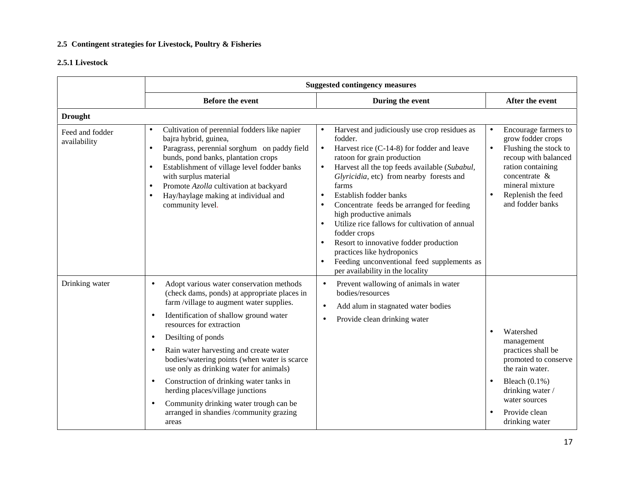## **2.5 Contingent strategies for Livestock, Poultry & Fisheries**

## **2.5.1 Livestock**

|                                 | <b>Suggested contingency measures</b>                                                                                                                                                                                                                                                                                                                                                                                                                                                                                                                                                                                   |                                                                                                                                                                                                                                                                                                                                                                                                                                                                                                                                                                                                                                                                                  |                                                                                                                                                                                                                                      |
|---------------------------------|-------------------------------------------------------------------------------------------------------------------------------------------------------------------------------------------------------------------------------------------------------------------------------------------------------------------------------------------------------------------------------------------------------------------------------------------------------------------------------------------------------------------------------------------------------------------------------------------------------------------------|----------------------------------------------------------------------------------------------------------------------------------------------------------------------------------------------------------------------------------------------------------------------------------------------------------------------------------------------------------------------------------------------------------------------------------------------------------------------------------------------------------------------------------------------------------------------------------------------------------------------------------------------------------------------------------|--------------------------------------------------------------------------------------------------------------------------------------------------------------------------------------------------------------------------------------|
|                                 | <b>Before the event</b>                                                                                                                                                                                                                                                                                                                                                                                                                                                                                                                                                                                                 | During the event                                                                                                                                                                                                                                                                                                                                                                                                                                                                                                                                                                                                                                                                 | After the event                                                                                                                                                                                                                      |
| <b>Drought</b>                  |                                                                                                                                                                                                                                                                                                                                                                                                                                                                                                                                                                                                                         |                                                                                                                                                                                                                                                                                                                                                                                                                                                                                                                                                                                                                                                                                  |                                                                                                                                                                                                                                      |
| Feed and fodder<br>availability | Cultivation of perennial fodders like napier<br>$\bullet$<br>bajra hybrid, guinea,<br>Paragrass, perennial sorghum on paddy field<br>$\bullet$<br>bunds, pond banks, plantation crops<br>Establishment of village level fodder banks<br>$\bullet$<br>with surplus material<br>Promote Azolla cultivation at backyard<br>$\bullet$<br>Hay/haylage making at individual and<br>$\bullet$<br>community level.                                                                                                                                                                                                              | Harvest and judiciously use crop residues as<br>$\bullet$<br>fodder.<br>Harvest rice (C-14-8) for fodder and leave<br>$\bullet$<br>ratoon for grain production<br>Harvest all the top feeds available (Subabul,<br>$\bullet$<br>Glyricidia, etc) from nearby forests and<br>farms<br>Establish fodder banks<br>$\bullet$<br>Concentrate feeds be arranged for feeding<br>$\bullet$<br>high productive animals<br>Utilize rice fallows for cultivation of annual<br>$\bullet$<br>fodder crops<br>Resort to innovative fodder production<br>$\bullet$<br>practices like hydroponics<br>Feeding unconventional feed supplements as<br>$\bullet$<br>per availability in the locality | Encourage farmers to<br>$\bullet$<br>grow fodder crops<br>Flushing the stock to<br>$\bullet$<br>recoup with balanced<br>ration containing<br>concentrate &<br>mineral mixture<br>Replenish the feed<br>$\bullet$<br>and fodder banks |
| Drinking water                  | Adopt various water conservation methods<br>$\bullet$<br>(check dams, ponds) at appropriate places in<br>farm/village to augment water supplies.<br>Identification of shallow ground water<br>$\bullet$<br>resources for extraction<br>Desilting of ponds<br>$\bullet$<br>Rain water harvesting and create water<br>٠<br>bodies/watering points (when water is scarce<br>use only as drinking water for animals)<br>Construction of drinking water tanks in<br>$\bullet$<br>herding places/village junctions<br>Community drinking water trough can be<br>$\bullet$<br>arranged in shandies /community grazing<br>areas | Prevent wallowing of animals in water<br>$\bullet$<br>bodies/resources<br>Add alum in stagnated water bodies<br>$\bullet$<br>Provide clean drinking water<br>$\bullet$                                                                                                                                                                                                                                                                                                                                                                                                                                                                                                           | Watershed<br>management<br>practices shall be<br>promoted to conserve<br>the rain water.<br>Bleach $(0.1\%)$<br>$\bullet$<br>drinking water /<br>water sources<br>Provide clean<br>drinking water                                    |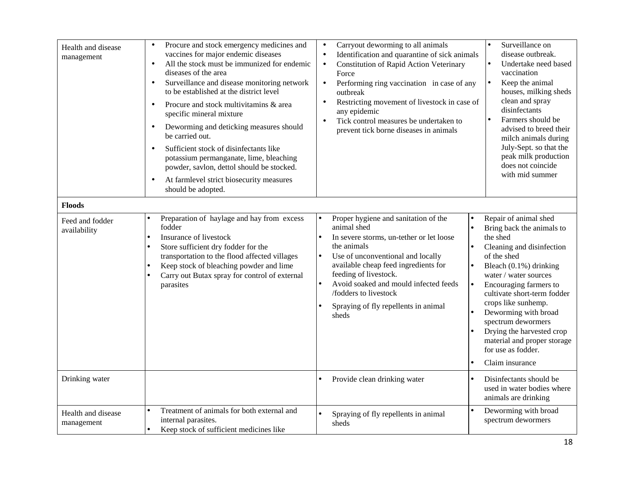| Health and disease<br>management<br><b>Floods</b> | Procure and stock emergency medicines and<br>$\bullet$<br>vaccines for major endemic diseases<br>All the stock must be immunized for endemic<br>$\bullet$<br>diseases of the area<br>Surveillance and disease monitoring network<br>$\bullet$<br>to be established at the district level<br>Procure and stock multivitamins & area<br>$\bullet$<br>specific mineral mixture<br>Deworming and deticking measures should<br>be carried out.<br>Sufficient stock of disinfectants like<br>potassium permanganate, lime, bleaching<br>powder, savlon, dettol should be stocked.<br>At farmlevel strict biosecurity measures<br>should be adopted. | Carryout deworming to all animals<br>$\bullet$<br>Identification and quarantine of sick animals<br>$\bullet$<br><b>Constitution of Rapid Action Veterinary</b><br>$\bullet$<br>Force<br>Performing ring vaccination in case of any<br>$\bullet$<br>outbreak<br>Restricting movement of livestock in case of<br>any epidemic<br>Tick control measures be undertaken to<br>$\bullet$<br>prevent tick borne diseases in animals | Surveillance on<br>disease outbreak.<br>Undertake need based<br>vaccination<br>Keep the animal<br>$\bullet$<br>houses, milking sheds<br>clean and spray<br>disinfectants<br>Farmers should be<br>advised to breed their<br>milch animals during<br>July-Sept. so that the<br>peak milk production<br>does not coincide<br>with mid summer                                                        |
|---------------------------------------------------|-----------------------------------------------------------------------------------------------------------------------------------------------------------------------------------------------------------------------------------------------------------------------------------------------------------------------------------------------------------------------------------------------------------------------------------------------------------------------------------------------------------------------------------------------------------------------------------------------------------------------------------------------|------------------------------------------------------------------------------------------------------------------------------------------------------------------------------------------------------------------------------------------------------------------------------------------------------------------------------------------------------------------------------------------------------------------------------|--------------------------------------------------------------------------------------------------------------------------------------------------------------------------------------------------------------------------------------------------------------------------------------------------------------------------------------------------------------------------------------------------|
| Feed and fodder<br>availability                   | Preparation of haylage and hay from excess<br>fodder<br>Insurance of livestock<br>Store sufficient dry fodder for the<br>$\bullet$<br>transportation to the flood affected villages<br>Keep stock of bleaching powder and lime<br>$\bullet$<br>Carry out Butax spray for control of external<br>parasites                                                                                                                                                                                                                                                                                                                                     | Proper hygiene and sanitation of the<br>animal shed<br>In severe storms, un-tether or let loose<br>l o<br>the animals<br>$\bullet$<br>Use of unconventional and locally<br>$\bullet$<br>available cheap feed ingredients for<br>feeding of livestock.<br>Avoid soaked and mould infected feeds<br>$\bullet$<br>$\bullet$<br>/fodders to livestock<br>Spraying of fly repellents in animal<br>sheds                           | Repair of animal shed<br>Bring back the animals to<br>the shed<br>Cleaning and disinfection<br>of the shed<br>Bleach (0.1%) drinking<br>water / water sources<br>Encouraging farmers to<br>cultivate short-term fodder<br>crops like sunhemp.<br>Deworming with broad<br>spectrum dewormers<br>Drying the harvested crop<br>material and proper storage<br>for use as fodder.<br>Claim insurance |
| Drinking water                                    |                                                                                                                                                                                                                                                                                                                                                                                                                                                                                                                                                                                                                                               | Provide clean drinking water                                                                                                                                                                                                                                                                                                                                                                                                 | Disinfectants should be<br>used in water bodies where<br>animals are drinking                                                                                                                                                                                                                                                                                                                    |
| Health and disease<br>management                  | Treatment of animals for both external and<br>internal parasites.<br>Keep stock of sufficient medicines like                                                                                                                                                                                                                                                                                                                                                                                                                                                                                                                                  | Spraying of fly repellents in animal<br>sheds                                                                                                                                                                                                                                                                                                                                                                                | Deworming with broad<br>spectrum dewormers                                                                                                                                                                                                                                                                                                                                                       |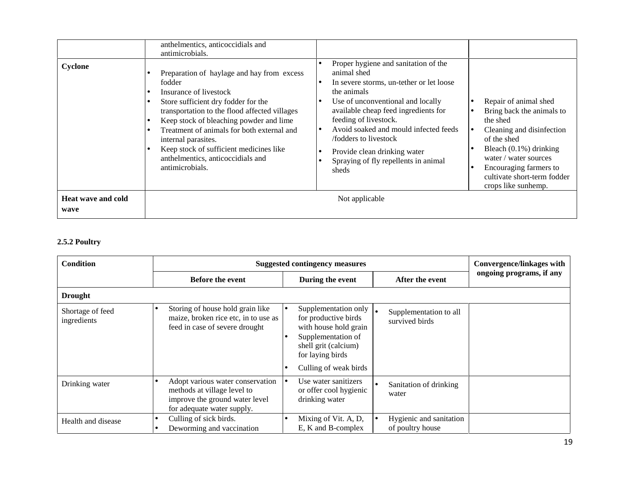| Cyclone                           | anthelmentics, anticoccidials and<br>antimicrobials.<br>Preparation of haylage and hay from excess<br>fodder<br>Insurance of livestock<br>Store sufficient dry fodder for the<br>transportation to the flood affected villages | Proper hygiene and sanitation of the<br>animal shed<br>In severe storms, un-tether or let loose<br>the animals<br>Use of unconventional and locally<br>available cheap feed ingredients for | Repair of animal shed<br>Bring back the animals to                                                                                                                                         |
|-----------------------------------|--------------------------------------------------------------------------------------------------------------------------------------------------------------------------------------------------------------------------------|---------------------------------------------------------------------------------------------------------------------------------------------------------------------------------------------|--------------------------------------------------------------------------------------------------------------------------------------------------------------------------------------------|
|                                   | Keep stock of bleaching powder and lime<br>Treatment of animals for both external and<br>internal parasites.<br>Keep stock of sufficient medicines like<br>anthelmentics, anticoccidials and<br>antimicrobials.                | feeding of livestock.<br>Avoid soaked and mould infected feeds<br>/fodders to livestock<br>Provide clean drinking water<br>Spraying of fly repellents in animal<br>sheds                    | the shed<br>Cleaning and disinfection<br>of the shed<br>Bleach $(0.1\%)$ drinking<br>water / water sources<br>Encouraging farmers to<br>cultivate short-term fodder<br>crops like sunhemp. |
| <b>Heat wave and cold</b><br>wave |                                                                                                                                                                                                                                | Not applicable                                                                                                                                                                              |                                                                                                                                                                                            |

## **2.5.2 Poultry**

| <b>Condition</b>                | <b>Suggested contingency measures</b>                                                                                           |                                                                                                                                                   |                                             | <b>Convergence/linkages with</b> |
|---------------------------------|---------------------------------------------------------------------------------------------------------------------------------|---------------------------------------------------------------------------------------------------------------------------------------------------|---------------------------------------------|----------------------------------|
|                                 | <b>Before the event</b>                                                                                                         | During the event                                                                                                                                  | After the event                             | ongoing programs, if any         |
| <b>Drought</b>                  |                                                                                                                                 |                                                                                                                                                   |                                             |                                  |
| Shortage of feed<br>ingredients | Storing of house hold grain like<br>maize, broken rice etc, in to use as<br>feed in case of severe drought                      | Supplementation only $\vert$ .<br>for productive birds<br>with house hold grain<br>Supplementation of<br>shell grit (calcium)<br>for laying birds | Supplementation to all<br>survived birds    |                                  |
|                                 |                                                                                                                                 | Culling of weak birds                                                                                                                             |                                             |                                  |
| Drinking water                  | Adopt various water conservation<br>methods at village level to<br>improve the ground water level<br>for adequate water supply. | Use water sanitizers<br>or offer cool hygienic<br>drinking water                                                                                  | Sanitation of drinking<br>water             |                                  |
| Health and disease              | Culling of sick birds.<br>Deworming and vaccination                                                                             | Mixing of Vit. A, D,<br>E, K and B-complex                                                                                                        | Hygienic and sanitation<br>of poultry house |                                  |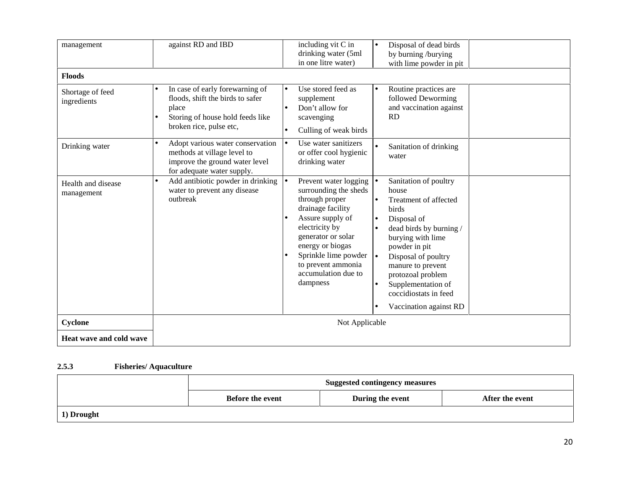| management                       | against RD and IBD                                                                                                                           | including vit C in<br>drinking water (5ml<br>in one litre water)                                                                                                                                                                                                         | Disposal of dead birds<br>$\bullet$<br>by burning /burying<br>with lime powder in pit                                                                                                                                                                                                                                |
|----------------------------------|----------------------------------------------------------------------------------------------------------------------------------------------|--------------------------------------------------------------------------------------------------------------------------------------------------------------------------------------------------------------------------------------------------------------------------|----------------------------------------------------------------------------------------------------------------------------------------------------------------------------------------------------------------------------------------------------------------------------------------------------------------------|
| <b>Floods</b>                    |                                                                                                                                              |                                                                                                                                                                                                                                                                          |                                                                                                                                                                                                                                                                                                                      |
| Shortage of feed<br>ingredients  | In case of early forewarning of<br>floods, shift the birds to safer<br>place<br>Storing of house hold feeds like<br>broken rice, pulse etc,  | Use stored feed as<br>$\bullet$<br>supplement<br>Don't allow for<br>scavenging<br>Culling of weak birds<br>$\bullet$                                                                                                                                                     | Routine practices are<br>$\bullet$<br>followed Deworming<br>and vaccination against<br><b>RD</b>                                                                                                                                                                                                                     |
| Drinking water                   | Adopt various water conservation<br>$\bullet$<br>methods at village level to<br>improve the ground water level<br>for adequate water supply. | Use water sanitizers<br>$\bullet$<br>or offer cool hygienic<br>drinking water                                                                                                                                                                                            | Sanitation of drinking<br>water                                                                                                                                                                                                                                                                                      |
| Health and disease<br>management | Add antibiotic powder in drinking<br>water to prevent any disease<br>outbreak                                                                | Prevent water logging $  \bullet$<br>١e<br>surrounding the sheds<br>through proper<br>drainage facility<br>Assure supply of<br>electricity by<br>generator or solar<br>energy or biogas<br>Sprinkle lime powder<br>to prevent ammonia<br>accumulation due to<br>dampness | Sanitation of poultry<br>house<br>Treatment of affected<br>I۰<br>birds<br>Disposal of<br>$\bullet$<br>dead birds by burning /<br>burying with lime<br>powder in pit<br>Disposal of poultry<br>-le<br>manure to prevent<br>protozoal problem<br>Supplementation of<br>coccidiostats in feed<br>Vaccination against RD |
| Cyclone                          | Not Applicable                                                                                                                               |                                                                                                                                                                                                                                                                          |                                                                                                                                                                                                                                                                                                                      |
| Heat wave and cold wave          |                                                                                                                                              |                                                                                                                                                                                                                                                                          |                                                                                                                                                                                                                                                                                                                      |

#### **2.5.3 Fisheries/ Aquaculture**

|            | <b>Suggested contingency measures</b> |                  |                 |
|------------|---------------------------------------|------------------|-----------------|
|            | <b>Before the event</b>               | During the event | After the event |
| 1) Drought |                                       |                  |                 |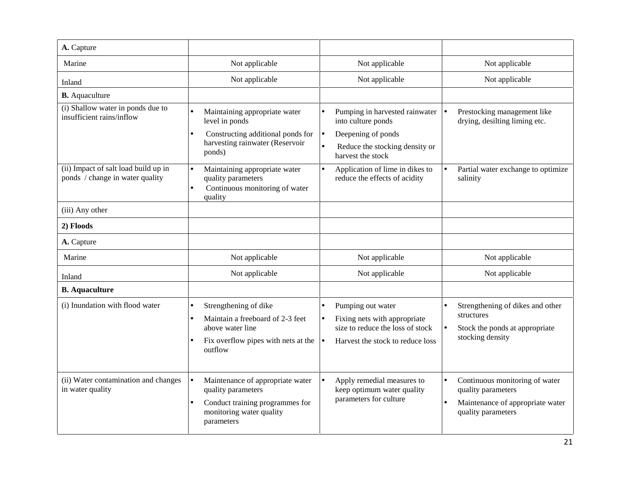| A. Capture                                                              |                                                                                                                                                  |                                                                                                                                        |                                                                                                                                          |
|-------------------------------------------------------------------------|--------------------------------------------------------------------------------------------------------------------------------------------------|----------------------------------------------------------------------------------------------------------------------------------------|------------------------------------------------------------------------------------------------------------------------------------------|
| Marine                                                                  | Not applicable                                                                                                                                   | Not applicable                                                                                                                         | Not applicable                                                                                                                           |
| Inland                                                                  | Not applicable                                                                                                                                   | Not applicable                                                                                                                         | Not applicable                                                                                                                           |
| <b>B.</b> Aquaculture                                                   |                                                                                                                                                  |                                                                                                                                        |                                                                                                                                          |
| (i) Shallow water in ponds due to<br>insufficient rains/inflow          | Maintaining appropriate water<br>level in ponds                                                                                                  | Pumping in harvested rainwater<br>into culture ponds                                                                                   | Prestocking management like<br>drying, desilting liming etc.                                                                             |
|                                                                         | Constructing additional ponds for                                                                                                                | Deepening of ponds<br>$\bullet$                                                                                                        |                                                                                                                                          |
|                                                                         | harvesting rainwater (Reservoir<br>ponds)                                                                                                        | Reduce the stocking density or<br>harvest the stock                                                                                    |                                                                                                                                          |
| (ii) Impact of salt load build up in<br>ponds / change in water quality | Maintaining appropriate water<br>$\bullet$<br>quality parameters<br>Continuous monitoring of water<br>quality                                    | Application of lime in dikes to<br>reduce the effects of acidity                                                                       | Partial water exchange to optimize<br>salinity                                                                                           |
| (iii) Any other                                                         |                                                                                                                                                  |                                                                                                                                        |                                                                                                                                          |
| 2) Floods                                                               |                                                                                                                                                  |                                                                                                                                        |                                                                                                                                          |
| A. Capture                                                              |                                                                                                                                                  |                                                                                                                                        |                                                                                                                                          |
| Marine                                                                  | Not applicable                                                                                                                                   | Not applicable                                                                                                                         | Not applicable                                                                                                                           |
| Inland                                                                  | Not applicable                                                                                                                                   | Not applicable                                                                                                                         | Not applicable                                                                                                                           |
| <b>B.</b> Aquaculture                                                   |                                                                                                                                                  |                                                                                                                                        |                                                                                                                                          |
| (i) Inundation with flood water                                         | Strengthening of dike<br>$\bullet$<br>Maintain a freeboard of 2-3 feet<br>above water line<br>Fix overflow pipes with nets at the<br>outflow     | Pumping out water<br>$\bullet$<br>Fixing nets with appropriate<br>size to reduce the loss of stock<br>Harvest the stock to reduce loss | Strengthening of dikes and other<br>$\bullet$<br>structures<br>Stock the ponds at appropriate<br>$\bullet$<br>stocking density           |
| (ii) Water contamination and changes<br>in water quality                | Maintenance of appropriate water<br>$\bullet$<br>quality parameters<br>Conduct training programmes for<br>monitoring water quality<br>parameters | Apply remedial measures to<br>keep optimum water quality<br>parameters for culture                                                     | Continuous monitoring of water<br>$\bullet$<br>quality parameters<br>Maintenance of appropriate water<br>$\bullet$<br>quality parameters |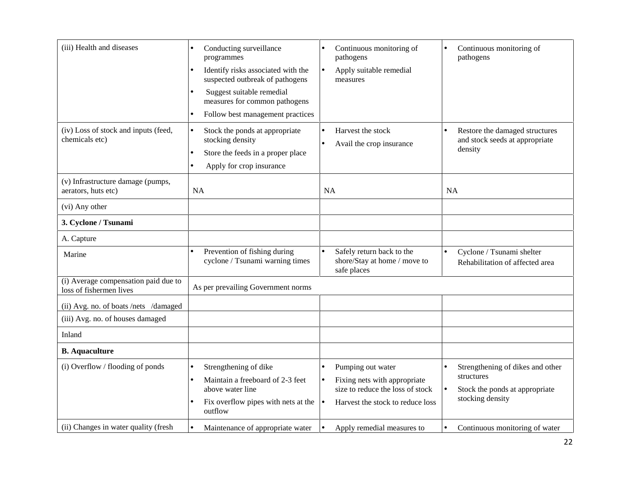| (iii) Health and diseases                                       | Conducting surveillance<br>programmes<br>Identify risks associated with the<br>suspected outbreak of pathogens<br>Suggest suitable remedial<br>measures for common pathogens<br>Follow best management practices<br>$\bullet$ | Continuous monitoring of<br>pathogens<br>Apply suitable remedial<br>$\bullet$<br>measures                                              | Continuous monitoring of<br>$\bullet$<br>pathogens                                                   |
|-----------------------------------------------------------------|-------------------------------------------------------------------------------------------------------------------------------------------------------------------------------------------------------------------------------|----------------------------------------------------------------------------------------------------------------------------------------|------------------------------------------------------------------------------------------------------|
| (iv) Loss of stock and inputs (feed,<br>chemicals etc)          | Stock the ponds at appropriate<br>$\bullet$<br>stocking density<br>Store the feeds in a proper place<br>$\bullet$<br>Apply for crop insurance<br>$\bullet$                                                                    | Harvest the stock<br>Avail the crop insurance                                                                                          | Restore the damaged structures<br>and stock seeds at appropriate<br>density                          |
| (v) Infrastructure damage (pumps,<br>aerators, huts etc)        | <b>NA</b>                                                                                                                                                                                                                     | <b>NA</b>                                                                                                                              | <b>NA</b>                                                                                            |
| (vi) Any other                                                  |                                                                                                                                                                                                                               |                                                                                                                                        |                                                                                                      |
| 3. Cyclone / Tsunami                                            |                                                                                                                                                                                                                               |                                                                                                                                        |                                                                                                      |
| A. Capture                                                      |                                                                                                                                                                                                                               |                                                                                                                                        |                                                                                                      |
| Marine                                                          | Prevention of fishing during<br>cyclone / Tsunami warning times                                                                                                                                                               | Safely return back to the<br>$\bullet$<br>shore/Stay at home / move to<br>safe places                                                  | Cyclone / Tsunami shelter<br>$\bullet$<br>Rehabilitation of affected area                            |
| (i) Average compensation paid due to<br>loss of fishermen lives | As per prevailing Government norms                                                                                                                                                                                            |                                                                                                                                        |                                                                                                      |
| (ii) Avg. no. of boats /nets /damaged                           |                                                                                                                                                                                                                               |                                                                                                                                        |                                                                                                      |
| (iii) Avg. no. of houses damaged                                |                                                                                                                                                                                                                               |                                                                                                                                        |                                                                                                      |
| Inland                                                          |                                                                                                                                                                                                                               |                                                                                                                                        |                                                                                                      |
| <b>B.</b> Aquaculture                                           |                                                                                                                                                                                                                               |                                                                                                                                        |                                                                                                      |
| (i) Overflow / flooding of ponds                                | Strengthening of dike<br>Maintain a freeboard of 2-3 feet<br>above water line<br>Fix overflow pipes with nets at the $\vert \bullet \vert$<br>outflow                                                                         | Pumping out water<br>Fixing nets with appropriate<br>$\bullet$<br>size to reduce the loss of stock<br>Harvest the stock to reduce loss | Strengthening of dikes and other<br>structures<br>Stock the ponds at appropriate<br>stocking density |
| (ii) Changes in water quality (fresh                            | Maintenance of appropriate water<br>$\bullet$                                                                                                                                                                                 | Apply remedial measures to                                                                                                             | Continuous monitoring of water<br>$\bullet$                                                          |